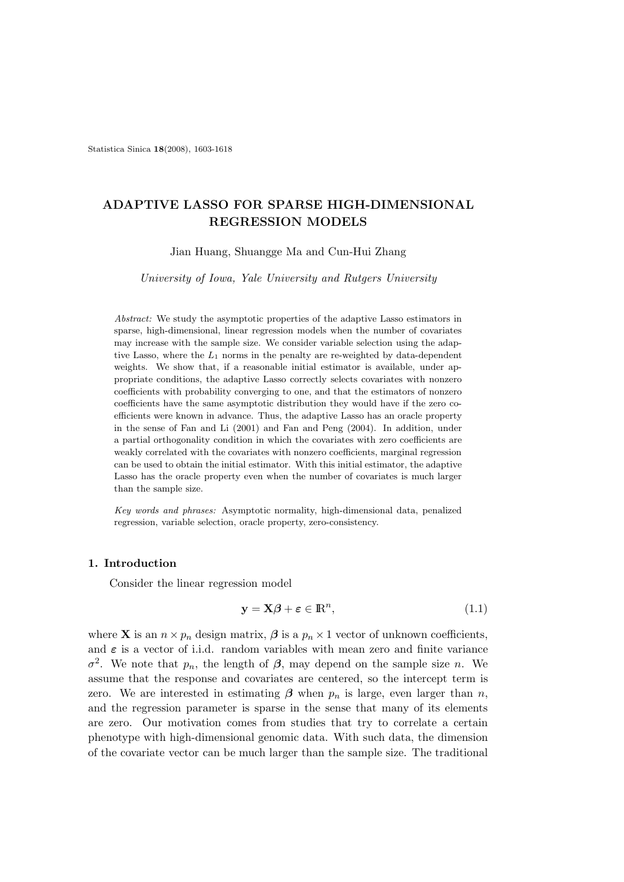Statistica Sinica 18(2008), 1603-1618

# ADAPTIVE LASSO FOR SPARSE HIGH-DIMENSIONAL REGRESSION MODELS

Jian Huang, Shuangge Ma and Cun-Hui Zhang

University of Iowa, Yale University and Rutgers University

Abstract: We study the asymptotic properties of the adaptive Lasso estimators in sparse, high-dimensional, linear regression models when the number of covariates may increase with the sample size. We consider variable selection using the adaptive Lasso, where the  $L_1$  norms in the penalty are re-weighted by data-dependent weights. We show that, if a reasonable initial estimator is available, under appropriate conditions, the adaptive Lasso correctly selects covariates with nonzero coefficients with probability converging to one, and that the estimators of nonzero coefficients have the same asymptotic distribution they would have if the zero coefficients were known in advance. Thus, the adaptive Lasso has an oracle property in the sense of Fan and Li (2001) and Fan and Peng (2004). In addition, under a partial orthogonality condition in which the covariates with zero coefficients are weakly correlated with the covariates with nonzero coefficients, marginal regression can be used to obtain the initial estimator. With this initial estimator, the adaptive Lasso has the oracle property even when the number of covariates is much larger than the sample size.

Key words and phrases: Asymptotic normality, high-dimensional data, penalized regression, variable selection, oracle property, zero-consistency.

## 1. Introduction

Consider the linear regression model

$$
y = X\beta + \varepsilon \in \mathbb{R}^n, \tag{1.1}
$$

where **X** is an  $n \times p_n$  design matrix,  $\boldsymbol{\beta}$  is a  $p_n \times 1$  vector of unknown coefficients, and  $\varepsilon$  is a vector of i.i.d. random variables with mean zero and finite variance  $\sigma^2$ . We note that  $p_n$ , the length of  $\beta$ , may depend on the sample size n. We assume that the response and covariates are centered, so the intercept term is zero. We are interested in estimating  $\beta$  when  $p_n$  is large, even larger than n, and the regression parameter is sparse in the sense that many of its elements are zero. Our motivation comes from studies that try to correlate a certain phenotype with high-dimensional genomic data. With such data, the dimension of the covariate vector can be much larger than the sample size. The traditional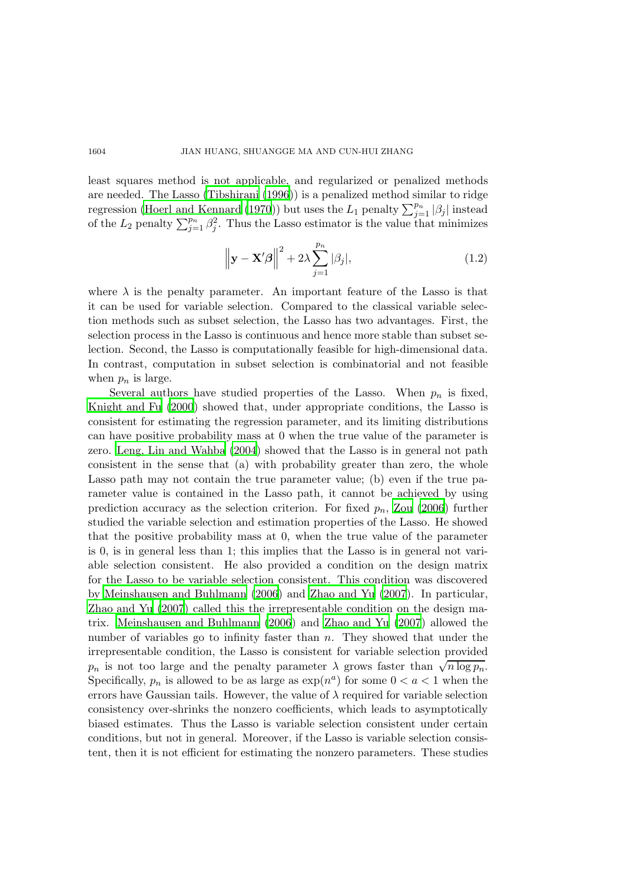#### 1604 JIAN HUANG, SHUANGGE MA AND CUN-HUI ZHANG

least squares method is not applicable, and regularized or penalized methods are needed. The Lasso [\(Tibshirani \(1996](#page-15-0))) is a penalized method similar to ridge regression [\(Hoerl and Kennard \(1970\)](#page-14-0)) but uses the  $L_1$  penalty  $\sum_{j=1}^{p_n} |\beta_j|$  instead of the  $L_2$  penalty  $\sum_{j=1}^{p_n} \beta_j^2$ . Thus the Lasso estimator is the value that minimizes

$$
\left\|\mathbf{y} - \mathbf{X}'\boldsymbol{\beta}\right\|^2 + 2\lambda \sum_{j=1}^{p_n} |\beta_j|,\tag{1.2}
$$

where  $\lambda$  is the penalty parameter. An important feature of the Lasso is that it can be used for variable selection. Compared to the classical variable selection methods such as subset selection, the Lasso has two advantages. First, the selection process in the Lasso is continuous and hence more stable than subset selection. Second, the Lasso is computationally feasible for high-dimensional data. In contrast, computation in subset selection is combinatorial and not feasible when  $p_n$  is large.

Several authors have studied properties of the Lasso. When  $p_n$  is fixed, [Knight and Fu \(2000](#page-15-1)) showed that, under appropriate conditions, the Lasso is consistent for estimating the regression parameter, and its limiting distributions can have positive probability mass at 0 when the true value of the parameter is zero. [Leng, Lin and Wahba \(2004](#page-15-2)) showed that the Lasso is in general not path consistent in the sense that (a) with probability greater than zero, the whole Lasso path may not contain the true parameter value; (b) even if the true parameter value is contained in the Lasso path, it cannot be achieved by using prediction accuracy as the selection criterion. For fixed  $p_n$ , [Zou \(2006](#page-15-3)) further studied the variable selection and estimation properties of the Lasso. He showed that the positive probability mass at 0, when the true value of the parameter is 0, is in general less than 1; this implies that the Lasso is in general not variable selection consistent. He also provided a condition on the design matrix for the Lasso to be variable selection consistent. This condition was discovered by [Meinshausen and Buhlmann \(2006](#page-15-4)) and [Zhao and Yu \(2007](#page-15-5)). In particular, [Zhao and Yu \(2007\)](#page-15-5) called this the irrepresentable condition on the design matrix. [Meinshausen and Buhlmann \(2006](#page-15-4)) and [Zhao and Yu \(2007](#page-15-5)) allowed the number of variables go to infinity faster than n. They showed that under the irrepresentable condition, the Lasso is consistent for variable selection provided  $p_n$  is not too large and the penalty parameter  $\lambda$  grows faster than  $\sqrt{n \log p_n}$ . Specifically,  $p_n$  is allowed to be as large as  $\exp(n^a)$  for some  $0 < a < 1$  when the errors have Gaussian tails. However, the value of  $\lambda$  required for variable selection consistency over-shrinks the nonzero coefficients, which leads to asymptotically biased estimates. Thus the Lasso is variable selection consistent under certain conditions, but not in general. Moreover, if the Lasso is variable selection consistent, then it is not efficient for estimating the nonzero parameters. These studies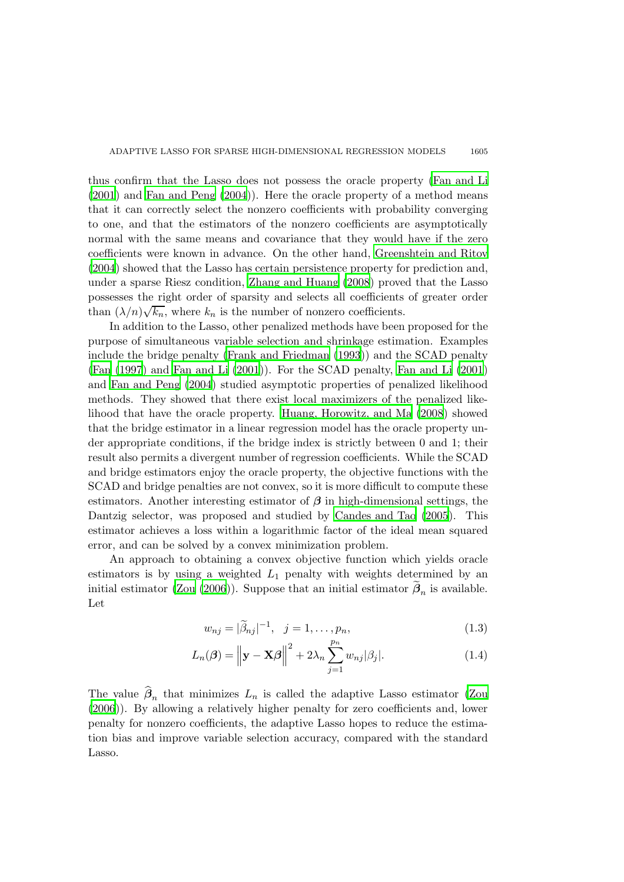thus confirm that the Lasso does not possess the oracle property [\(Fan and Li](#page-14-1) [\(2001](#page-14-1)) and [Fan and Peng \(2004](#page-14-2))). Here the oracle property of a method means that it can correctly select the nonzero coefficients with probability converging to one, and that the estimators of the nonzero coefficients are asymptotically normal with the same means and covariance that they would have if the zero coefficients were known in advance. On the other hand, [Greenshtein and Ritov](#page-14-3) [\(2004](#page-14-3)) showed that the Lasso has certain persistence property for prediction and, under a sparse Riesz condition, [Zhang and Huang \(2008](#page-15-6)) proved that the Lasso possesses the right order of sparsity and selects all coefficients of greater order than  $(\lambda/n)\sqrt{k_n}$ , where  $k_n$  is the number of nonzero coefficients.

In addition to the Lasso, other penalized methods have been proposed for the purpose of simultaneous variable selection and shrinkage estimation. Examples include the bridge penalty [\(Frank and Friedman \(1993\)](#page-14-4)) and the SCAD penalty [\(Fan \(1997](#page-14-5)) and [Fan and Li \(2001](#page-14-1))). For the SCAD penalty, [Fan and Li \(2001](#page-14-1)) and [Fan and Peng \(2004\)](#page-14-2) studied asymptotic properties of penalized likelihood methods. They showed that there exist local maximizers of the penalized likelihood that have the oracle property. [Huang, Horowitz, and Ma \(2008\)](#page-15-7) showed that the bridge estimator in a linear regression model has the oracle property under appropriate conditions, if the bridge index is strictly between 0 and 1; their result also permits a divergent number of regression coefficients. While the SCAD and bridge estimators enjoy the oracle property, the objective functions with the SCAD and bridge penalties are not convex, so it is more difficult to compute these estimators. Another interesting estimator of  $\beta$  in high-dimensional settings, the Dantzig selector, was proposed and studied by [Candes and Tao](#page-14-6) [\(2005](#page-14-6)). This estimator achieves a loss within a logarithmic factor of the ideal mean squared error, and can be solved by a convex minimization problem.

An approach to obtaining a convex objective function which yields oracle estimators is by using a weighted  $L_1$  penalty with weights determined by an initial estimator [\(Zou \(2006\)](#page-15-3)). Suppose that an initial estimator  $\beta_n$  is available. Let

$$
w_{nj} = |\tilde{\beta}_{nj}|^{-1}, \ \ j = 1, \dots, p_n,
$$
\n(1.3)

$$
L_n(\boldsymbol{\beta}) = \left\| \mathbf{y} - \mathbf{X}\boldsymbol{\beta} \right\|^2 + 2\lambda_n \sum_{j=1}^{p_n} w_{nj} |\beta_j|.
$$
 (1.4)

The value  $\beta_n$  that minimizes  $L_n$  is called the adaptive Lasso estimator [\(Zou](#page-15-3) [\(2006](#page-15-3))). By allowing a relatively higher penalty for zero coefficients and, lower penalty for nonzero coefficients, the adaptive Lasso hopes to reduce the estimation bias and improve variable selection accuracy, compared with the standard Lasso.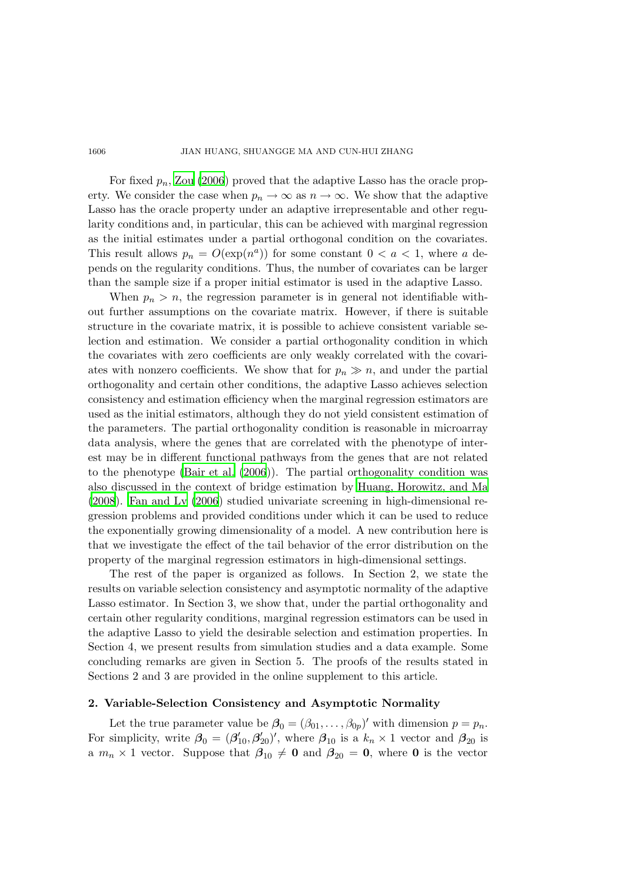#### 1606 JIAN HUANG, SHUANGGE MA AND CUN-HUI ZHANG

For fixed  $p_n$ , [Zou \(2006](#page-15-3)) proved that the adaptive Lasso has the oracle property. We consider the case when  $p_n \to \infty$  as  $n \to \infty$ . We show that the adaptive Lasso has the oracle property under an adaptive irrepresentable and other regularity conditions and, in particular, this can be achieved with marginal regression as the initial estimates under a partial orthogonal condition on the covariates. This result allows  $p_n = O(\exp(n^a))$  for some constant  $0 < a < 1$ , where a depends on the regularity conditions. Thus, the number of covariates can be larger than the sample size if a proper initial estimator is used in the adaptive Lasso.

When  $p_n > n$ , the regression parameter is in general not identifiable without further assumptions on the covariate matrix. However, if there is suitable structure in the covariate matrix, it is possible to achieve consistent variable selection and estimation. We consider a partial orthogonality condition in which the covariates with zero coefficients are only weakly correlated with the covariates with nonzero coefficients. We show that for  $p_n \gg n$ , and under the partial orthogonality and certain other conditions, the adaptive Lasso achieves selection consistency and estimation efficiency when the marginal regression estimators are used as the initial estimators, although they do not yield consistent estimation of the parameters. The partial orthogonality condition is reasonable in microarray data analysis, where the genes that are correlated with the phenotype of interest may be in different functional pathways from the genes that are not related to the phenotype [\(Bair et al. \(2006](#page-14-7))). The partial orthogonality condition was also discussed in the context of bridge estimation by Huang, [Horowitz, and Ma](#page-15-7) [\(2008](#page-15-7)). [Fan and Lv \(2006](#page-14-8)) studied univariate screening in high-dimensional regression problems and provided conditions under which it can be used to reduce the exponentially growing dimensionality of a model. A new contribution here is that we investigate the effect of the tail behavior of the error distribution on the property of the marginal regression estimators in high-dimensional settings.

The rest of the paper is organized as follows. In Section 2, we state the results on variable selection consistency and asymptotic normality of the adaptive Lasso estimator. In Section 3, we show that, under the partial orthogonality and certain other regularity conditions, marginal regression estimators can be used in the adaptive Lasso to yield the desirable selection and estimation properties. In Section 4, we present results from simulation studies and a data example. Some concluding remarks are given in Section 5. The proofs of the results stated in Sections 2 and 3 are provided in the online supplement to this article.

## 2. Variable-Selection Consistency and Asymptotic Normality

Let the true parameter value be  $\beta_0 = (\beta_{01}, \dots, \beta_{0p})'$  with dimension  $p = p_n$ . For simplicity, write  $\beta_0 = (\beta'_{10}, \beta'_{20})'$ , where  $\beta_{10}$  is a  $k_n \times 1$  vector and  $\beta_{20}$  is a  $m_n \times 1$  vector. Suppose that  $\beta_{10} \neq 0$  and  $\beta_{20} = 0$ , where 0 is the vector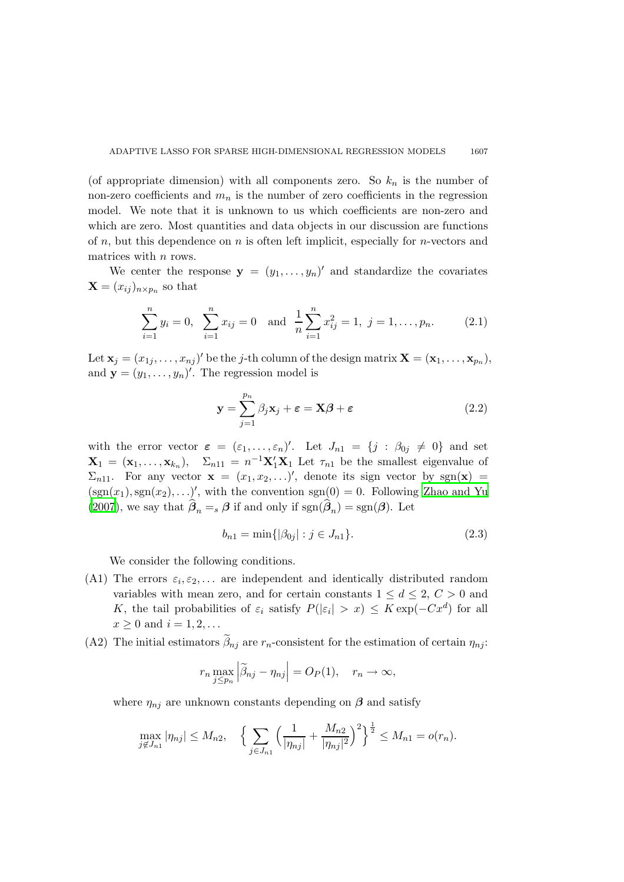(of appropriate dimension) with all components zero. So  $k_n$  is the number of non-zero coefficients and  $m_n$  is the number of zero coefficients in the regression model. We note that it is unknown to us which coefficients are non-zero and which are zero. Most quantities and data objects in our discussion are functions of  $n$ , but this dependence on  $n$  is often left implicit, especially for  $n$ -vectors and matrices with  $n$  rows.

We center the response  $y = (y_1, \ldots, y_n)'$  and standardize the covariates  $\mathbf{X} = (x_{ij})_{n \times p_n}$  so that

<span id="page-4-0"></span>
$$
\sum_{i=1}^{n} y_i = 0, \quad \sum_{i=1}^{n} x_{ij} = 0 \quad \text{and} \quad \frac{1}{n} \sum_{i=1}^{n} x_{ij}^2 = 1, \quad j = 1, \dots, p_n. \tag{2.1}
$$

Let  $\mathbf{x}_j = (x_{1j}, \dots, x_{nj})'$  be the j-th column of the design matrix  $\mathbf{X} = (\mathbf{x}_1, \dots, \mathbf{x}_{p_n}),$ and  $\mathbf{y} = (y_1, \dots, y_n)'$ . The regression model is

$$
\mathbf{y} = \sum_{j=1}^{p_n} \beta_j \mathbf{x}_j + \boldsymbol{\varepsilon} = \mathbf{X}\boldsymbol{\beta} + \boldsymbol{\varepsilon}
$$
 (2.2)

with the error vector  $\varepsilon = (\varepsilon_1, \ldots, \varepsilon_n)'$ . Let  $J_{n_1} = \{j : \beta_{0j} \neq 0\}$  and set  $\mathbf{X}_1 = (\mathbf{x}_1, \dots, \mathbf{x}_{k_n}), \quad \Sigma_{n11} = n^{-1} \mathbf{X}_1' \mathbf{X}_1$  Let  $\tau_{n1}$  be the smallest eigenvalue of  $\Sigma_{n11}$ . For any vector  $\mathbf{x} = (x_1, x_2, \ldots)'$ , denote its sign vector by sgn( $\mathbf{x}$ ) =  $(\text{sgn}(x_1), \text{sgn}(x_2), \ldots)'$ , with the convention  $\text{sgn}(0) = 0$ . Following [Zhao and Yu](#page-15-5) [\(2007](#page-15-5)), we say that  $\beta_n = s \beta$  if and only if  $sgn(\beta_n) = sgn(\beta)$ . Let

$$
b_{n1} = \min\{|\beta_{0j}| : j \in J_{n1}\}.
$$
\n(2.3)

We consider the following conditions.

- (A1) The errors  $\varepsilon_i, \varepsilon_2, \ldots$  are independent and identically distributed random variables with mean zero, and for certain constants  $1 \leq d \leq 2$ ,  $C > 0$  and K, the tail probabilities of  $\varepsilon_i$  satisfy  $P(|\varepsilon_i| > x) \leq K \exp(-Cx^d)$  for all  $x \geq 0$  and  $i = 1, 2, \ldots$
- (A2) The initial estimators  $\beta_{nj}$  are  $r_n$ -consistent for the estimation of certain  $\eta_{nj}$ :

$$
r_n \max_{j \le p_n} \left| \widetilde{\beta}_{nj} - \eta_{nj} \right| = O_P(1), \quad r_n \to \infty,
$$

where  $\eta_{nj}$  are unknown constants depending on  $\beta$  and satisfy

$$
\max_{j \notin J_{n1}} |\eta_{nj}| \le M_{n2}, \quad \Big\{ \sum_{j \in J_{n1}} \Big( \frac{1}{|\eta_{nj}|} + \frac{M_{n2}}{|\eta_{nj}|^2} \Big)^2 \Big\}^{\frac{1}{2}} \le M_{n1} = o(r_n).
$$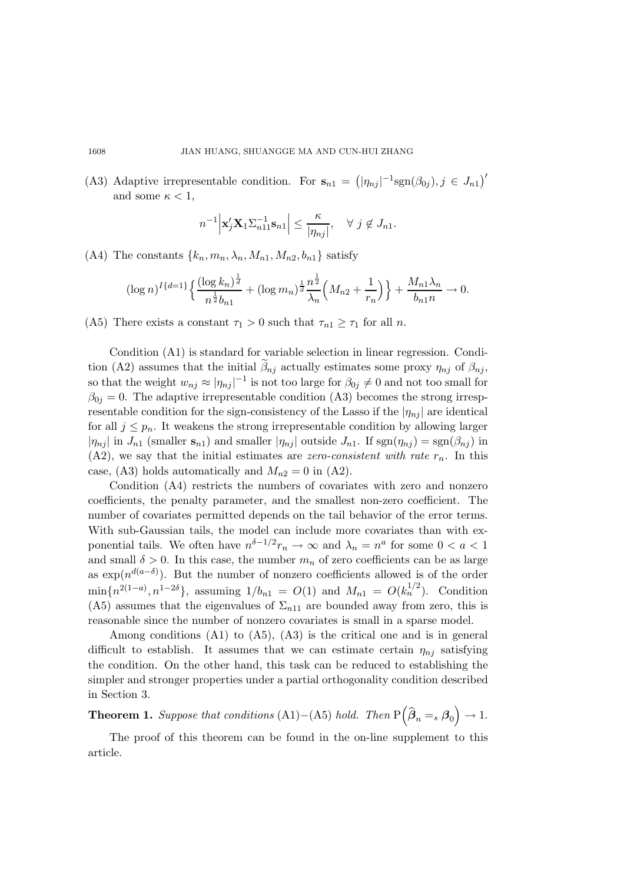(A3) Adaptive irrepresentable condition. For  $\mathbf{s}_{n1} = (|\eta_{nj}|^{-1} \text{sgn}(\beta_{0j}), j \in J_{n1})'$ and some  $\kappa < 1$ ,

$$
n^{-1} \Big| \mathbf{x}_j^{\prime} \mathbf{X}_1 \Sigma_{n11}^{-1} \mathbf{s}_{n1} \Big| \leq \frac{\kappa}{|\eta_{nj}|}, \quad \forall \ j \notin J_{n1}.
$$

(A4) The constants  $\{k_n, m_n, \lambda_n, M_{n1}, M_{n2}, b_{n1}\}\$  satisfy

$$
(\log n)^{I\{d=1\}} \Big\{ \frac{(\log k_n)^{\frac{1}{d}}}{n^{\frac{1}{2}}b_{n1}} + (\log m_n)^{\frac{1}{d}} \frac{n^{\frac{1}{2}}}{\lambda_n} \Big( M_{n2} + \frac{1}{r_n} \Big) \Big\} + \frac{M_{n1}\lambda_n}{b_{n1}n} \to 0.
$$

(A5) There exists a constant  $\tau_1 > 0$  such that  $\tau_{n1} \geq \tau_1$  for all n.

Condition (A1) is standard for variable selection in linear regression. Condition (A2) assumes that the initial  $\beta_{nj}$  actually estimates some proxy  $\eta_{nj}$  of  $\beta_{nj}$ , so that the weight  $w_{nj} \approx |\eta_{nj}|^{-1}$  is not too large for  $\beta_{0j} \neq 0$  and not too small for  $\beta_{0j} = 0$ . The adaptive irrepresentable condition (A3) becomes the strong irrespresentable condition for the sign-consistency of the Lasso if the  $|\eta_{nj}|$  are identical for all  $j \leq p_n$ . It weakens the strong irrepresentable condition by allowing larger  $|\eta_{nj}|$  in  $J_{n1}$  (smaller  $s_{n1}$ ) and smaller  $|\eta_{nj}|$  outside  $J_{n1}$ . If  $sgn(\eta_{nj}) = sgn(\beta_{nj})$  in  $(A2)$ , we say that the initial estimates are zero-consistent with rate  $r_n$ . In this case, (A3) holds automatically and  $M_{n2} = 0$  in (A2).

Condition (A4) restricts the numbers of covariates with zero and nonzero coefficients, the penalty parameter, and the smallest non-zero coefficient. The number of covariates permitted depends on the tail behavior of the error terms. With sub-Gaussian tails, the model can include more covariates than with exponential tails. We often have  $n^{\delta-1/2}r_n \to \infty$  and  $\lambda_n = n^a$  for some  $0 < a < 1$ and small  $\delta > 0$ . In this case, the number  $m_n$  of zero coefficients can be as large as  $\exp(n^{d(a-\delta)})$ . But the number of nonzero coefficients allowed is of the order  $\min\{n^{2(1-a)}, n^{1-2\delta}\}\$ , assuming  $1/b_{n1} = O(1)$  and  $M_{n1} = O(k_n^{1/2})$ . Condition (A5) assumes that the eigenvalues of  $\Sigma_{n11}$  are bounded away from zero, this is reasonable since the number of nonzero covariates is small in a sparse model.

Among conditions (A1) to (A5), (A3) is the critical one and is in general difficult to establish. It assumes that we can estimate certain  $\eta_{ni}$  satisfying the condition. On the other hand, this task can be reduced to establishing the simpler and stronger properties under a partial orthogonality condition described in Section 3.

**Theorem 1.** Suppose that conditions (A1)–(A5) hold. Then  $P(\hat{\beta}_n = s \beta_0) \rightarrow 1$ .

The proof of this theorem can be found in the on-line supplement to this article.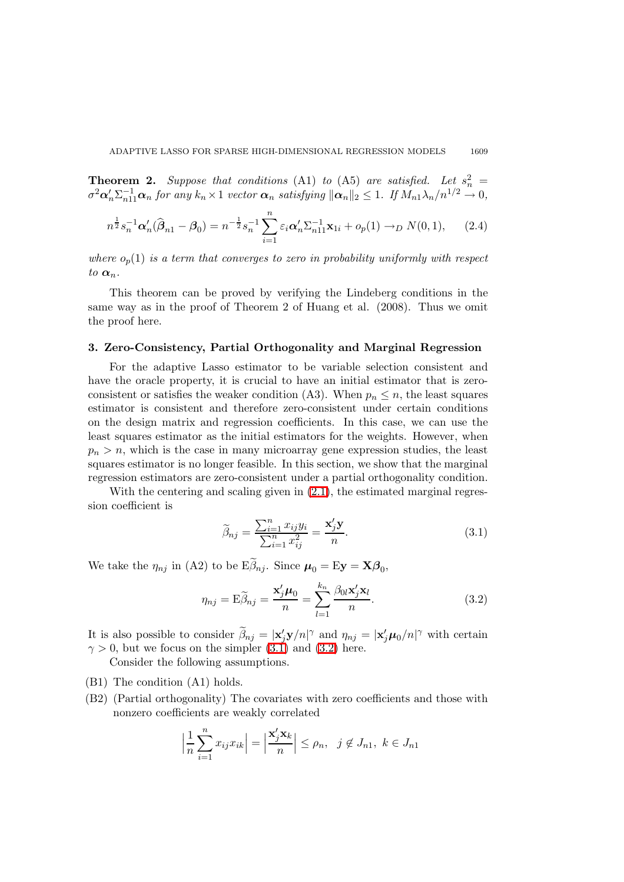**Theorem 2.** Suppose that conditions (A1) to (A5) are satisfied. Let  $s_n^2 =$  $\sigma^2 \alpha'_n \Sigma_{n11}^{-1} \alpha_n$  for any  $k_n \times 1$  vector  $\alpha_n$  satisfying  $\|\alpha_n\|_2 \leq 1$ . If  $M_{n1} \lambda_n/n^{1/2} \to 0$ ,

$$
n^{\frac{1}{2}} s_n^{-1} \alpha'_n (\widehat{\boldsymbol{\beta}}_{n1} - \boldsymbol{\beta}_0) = n^{-\frac{1}{2}} s_n^{-1} \sum_{i=1}^n \varepsilon_i \alpha'_n \Sigma_{n11}^{-1} \mathbf{x}_{1i} + o_p(1) \to_D N(0, 1), \qquad (2.4)
$$

where  $o_p(1)$  is a term that converges to zero in probability uniformly with respect to  $\alpha_n$ .

This theorem can be proved by verifying the Lindeberg conditions in the same way as in the proof of Theorem 2 of Huang et al. (2008). Thus we omit the proof here.

#### 3. Zero-Consistency, Partial Orthogonality and Marginal Regression

For the adaptive Lasso estimator to be variable selection consistent and have the oracle property, it is crucial to have an initial estimator that is zeroconsistent or satisfies the weaker condition (A3). When  $p_n \leq n$ , the least squares estimator is consistent and therefore zero-consistent under certain conditions on the design matrix and regression coefficients. In this case, we can use the least squares estimator as the initial estimators for the weights. However, when  $p_n > n$ , which is the case in many microarray gene expression studies, the least squares estimator is no longer feasible. In this section, we show that the marginal regression estimators are zero-consistent under a partial orthogonality condition.

With the centering and scaling given in  $(2.1)$ , the estimated marginal regression coefficient is

<span id="page-6-1"></span>
$$
\widetilde{\beta}_{nj} = \frac{\sum_{i=1}^{n} x_{ij} y_i}{\sum_{i=1}^{n} x_{ij}^2} = \frac{\mathbf{x}'_j \mathbf{y}}{n}.
$$
\n(3.1)

<span id="page-6-0"></span>We take the  $\eta_{nj}$  in (A2) to be  $E\beta_{nj}$ . Since  $\mu_0 = Ey = X\beta_0$ ,

$$
\eta_{nj} = \mathbf{E}\widetilde{\beta}_{nj} = \frac{\mathbf{x}'_j \boldsymbol{\mu}_0}{n} = \sum_{l=1}^{k_n} \frac{\beta_{0l} \mathbf{x}'_j \mathbf{x}_l}{n}.
$$
\n(3.2)

It is also possible to consider  $\hat{\beta}_{nj} = |x'_j y/n|^\gamma$  and  $\eta_{nj} = |x'_j \mu_0/n|^\gamma$  with certain  $\gamma > 0$ , but we focus on the simpler  $(3.1)$  and  $(3.2)$  here.

Consider the following assumptions.

- (B1) The condition (A1) holds.
- (B2) (Partial orthogonality) The covariates with zero coefficients and those with nonzero coefficients are weakly correlated

$$
\left|\frac{1}{n}\sum_{i=1}^n x_{ij}x_{ik}\right| = \left|\frac{\mathbf{x}'_j\mathbf{x}_k}{n}\right| \le \rho_n, \ \ j \notin J_{n1}, \ k \in J_{n1}
$$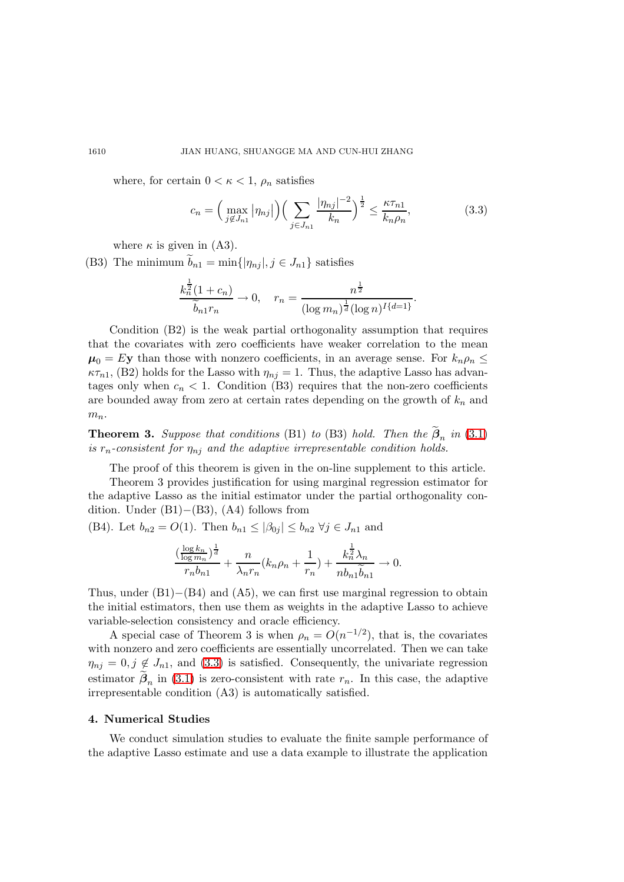where, for certain  $0 < \kappa < 1$ ,  $\rho_n$  satisfies

<span id="page-7-0"></span>
$$
c_n = \left(\max_{j \notin J_{n1}} |\eta_{nj}|\right) \left(\sum_{j \in J_{n1}} \frac{|\eta_{nj}|^{-2}}{k_n}\right)^{\frac{1}{2}} \le \frac{\kappa \tau_{n1}}{k_n \rho_n},\tag{3.3}
$$

where  $\kappa$  is given in (A3).

(B3) The minimum  $b_{n1} = \min\{|\eta_{nj}|, j \in J_{n1}\}\)$  satisfies

$$
\frac{k_n^{\frac{1}{2}}(1+c_n)}{\widetilde{b}_{n1}r_n} \to 0, \quad r_n = \frac{n^{\frac{1}{2}}}{(\log m_n)^{\frac{1}{d}}(\log n)^{I\{d=1\}}}.
$$

Condition (B2) is the weak partial orthogonality assumption that requires that the covariates with zero coefficients have weaker correlation to the mean  $\mu_0 = Ey$  than those with nonzero coefficients, in an average sense. For  $k_n \rho_n \leq$  $\kappa\tau_{n1}$ , (B2) holds for the Lasso with  $\eta_{ni} = 1$ . Thus, the adaptive Lasso has advantages only when  $c_n < 1$ . Condition (B3) requires that the non-zero coefficients are bounded away from zero at certain rates depending on the growth of  $k_n$  and  $m_n$ .

**Theorem 3.** Suppose that conditions (B1) to (B3) hold. Then the  $\beta_n$  in [\(3.1\)](#page-6-0) is  $r_n$ -consistent for  $\eta_{nj}$  and the adaptive irrepresentable condition holds.

The proof of this theorem is given in the on-line supplement to this article.

Theorem 3 provides justification for using marginal regression estimator for the adaptive Lasso as the initial estimator under the partial orthogonality condition. Under (B1)−(B3), (A4) follows from

(B4). Let  $b_{n2} = O(1)$ . Then  $b_{n1} \leq |\beta_{0j}| \leq b_{n2} \ \forall j \in J_{n1}$  and

$$
\frac{(\frac{\log k_n}{\log m_n})^{\frac{1}{d}}}{r_n b_{n1}}+\frac{n}{\lambda_n r_n}(k_n\rho_n+\frac{1}{r_n})+\frac{k_n^{\frac{1}{2}}\lambda_n}{nb_{n1}\widetilde{b}_{n1}}\rightarrow 0.
$$

Thus, under  $(B1)–(B4)$  and  $(A5)$ , we can first use marginal regression to obtain the initial estimators, then use them as weights in the adaptive Lasso to achieve variable-selection consistency and oracle efficiency.

A special case of Theorem 3 is when  $\rho_n = O(n^{-1/2})$ , that is, the covariates with nonzero and zero coefficients are essentially uncorrelated. Then we can take  $\eta_{nj} = 0, j \notin J_{n1}$ , and [\(3.3\)](#page-7-0) is satisfied. Consequently, the univariate regression estimator  $\beta_n$  in [\(3.1\)](#page-6-0) is zero-consistent with rate  $r_n$ . In this case, the adaptive irrepresentable condition (A3) is automatically satisfied.

#### 4. Numerical Studies

We conduct simulation studies to evaluate the finite sample performance of the adaptive Lasso estimate and use a data example to illustrate the application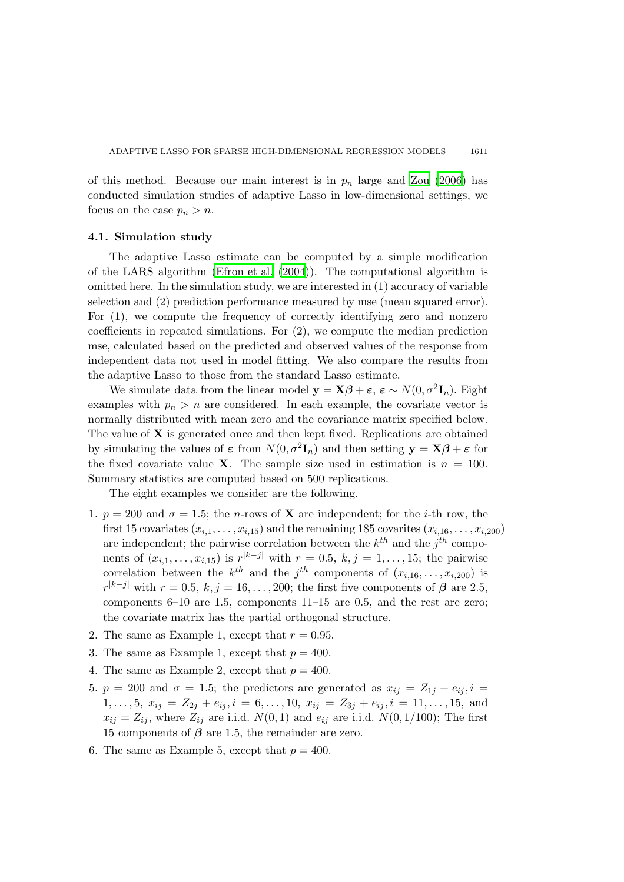of this method. Because our main interest is in  $p_n$  large and [Zou \(2006](#page-15-3)) has conducted simulation studies of adaptive Lasso in low-dimensional settings, we focus on the case  $p_n > n$ .

### 4.1. Simulation study

The adaptive Lasso estimate can be computed by a simple modification of the LARS algorithm [\(Efron et al. \(2004](#page-14-9))). The computational algorithm is omitted here. In the simulation study, we are interested in (1) accuracy of variable selection and (2) prediction performance measured by mse (mean squared error). For (1), we compute the frequency of correctly identifying zero and nonzero coefficients in repeated simulations. For (2), we compute the median prediction mse, calculated based on the predicted and observed values of the response from independent data not used in model fitting. We also compare the results from the adaptive Lasso to those from the standard Lasso estimate.

We simulate data from the linear model  $\mathbf{y} = \mathbf{X}\boldsymbol{\beta} + \boldsymbol{\varepsilon}$ ,  $\boldsymbol{\varepsilon} \sim N(0, \sigma^2 \mathbf{I}_n)$ . Eight examples with  $p_n > n$  are considered. In each example, the covariate vector is normally distributed with mean zero and the covariance matrix specified below. The value of X is generated once and then kept fixed. Replications are obtained by simulating the values of  $\varepsilon$  from  $N(0, \sigma^2 \mathbf{I}_n)$  and then setting  $\mathbf{y} = \mathbf{X}\boldsymbol{\beta} + \varepsilon$  for the fixed covariate value **X**. The sample size used in estimation is  $n = 100$ . Summary statistics are computed based on 500 replications.

The eight examples we consider are the following.

- 1.  $p = 200$  and  $\sigma = 1.5$ ; the *n*-rows of **X** are independent; for the *i*-th row, the first 15 covariates  $(x_{i,1},\ldots,x_{i,15})$  and the remaining 185 covarites  $(x_{i,16},\ldots,x_{i,200})$ are independent; the pairwise correlation between the  $k^{th}$  and the  $j^{th}$  components of  $(x_{i,1},...,x_{i,15})$  is  $r^{|k-j|}$  with  $r = 0.5, k, j = 1,...,15$ ; the pairwise correlation between the  $k^{th}$  and the  $j^{th}$  components of  $(x_{i,16},...,x_{i,200})$  is  $r^{|k-j|}$  with  $r = 0.5, k, j = 16, \ldots, 200$ ; the first five components of  $\beta$  are 2.5, components 6–10 are 1.5, components 11–15 are 0.5, and the rest are zero; the covariate matrix has the partial orthogonal structure.
- 2. The same as Example 1, except that  $r = 0.95$ .
- 3. The same as Example 1, except that  $p = 400$ .
- 4. The same as Example 2, except that  $p = 400$ .
- 5.  $p = 200$  and  $\sigma = 1.5$ ; the predictors are generated as  $x_{ij} = Z_{1j} + e_{ij}, i =$  $1, \ldots, 5, x_{ij} = Z_{2j} + e_{ij}, i = 6, \ldots, 10, x_{ij} = Z_{3j} + e_{ij}, i = 11, \ldots, 15, \text{ and}$  $x_{ij} = Z_{ij}$ , where  $Z_{ij}$  are i.i.d.  $N(0, 1)$  and  $e_{ij}$  are i.i.d.  $N(0, 1/100)$ ; The first 15 components of  $\beta$  are 1.5, the remainder are zero.
- 6. The same as Example 5, except that  $p = 400$ .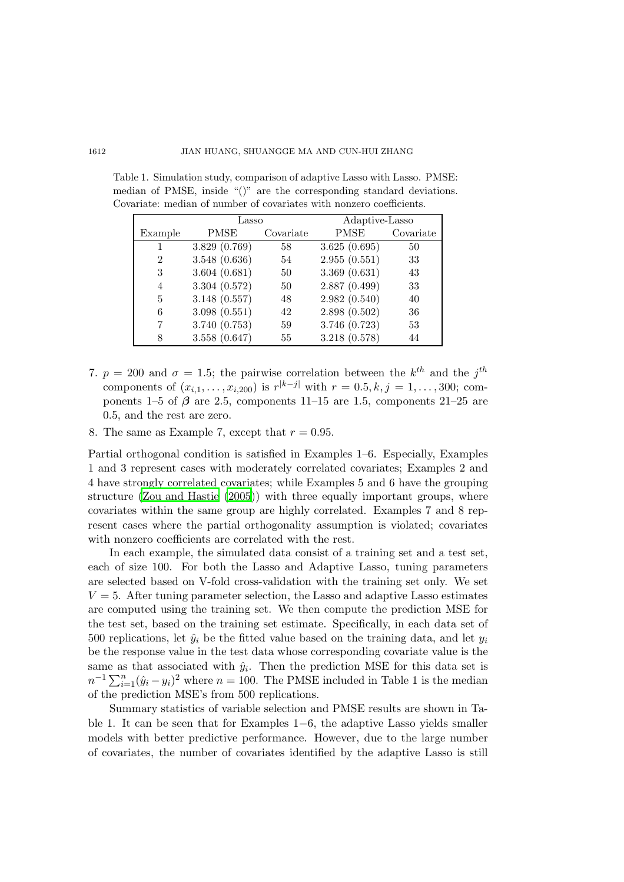#### 1612 JIAN HUANG, SHUANGGE MA AND CUN-HUI ZHANG

|                | Lasso         |           | Adaptive-Lasso |           |  |
|----------------|---------------|-----------|----------------|-----------|--|
| Example        | PMSE          | Covariate | PMSE           | Covariate |  |
|                | 3.829 (0.769) | 58        | 3.625(0.695)   | 50        |  |
| $\overline{2}$ | 3.548 (0.636) | 54        | 2.955(0.551)   | 33        |  |
| 3              | 3.604(0.681)  | 50        | 3.369(0.631)   | 43        |  |
| $\overline{4}$ | 3.304 (0.572) | 50        | 2.887(0.499)   | 33        |  |
| 5              | 3.148(0.557)  | 48        | 2.982(0.540)   | 40        |  |
| 6              | 3.098(0.551)  | 42        | 2.898(0.502)   | 36        |  |
| 7              | 3.740 (0.753) | 59        | 3.746 (0.723)  | 53        |  |
| 8              | 3.558(0.647)  | 55        | 3.218 (0.578)  | 44        |  |

Table 1. Simulation study, comparison of adaptive Lasso with Lasso. PMSE: median of PMSE, inside "()" are the corresponding standard deviations. Covariate: median of number of covariates with nonzero coefficients.

- 7.  $p = 200$  and  $\sigma = 1.5$ ; the pairwise correlation between the  $k^{th}$  and the  $j^{th}$ components of  $(x_{i,1},...,x_{i,200})$  is  $r^{|k-j|}$  with  $r = 0.5, k, j = 1,...,300$ ; components 1–5 of  $\beta$  are 2.5, components 11–15 are 1.5, components 21–25 are 0.5, and the rest are zero.
- 8. The same as Example 7, except that  $r = 0.95$ .

Partial orthogonal condition is satisfied in Examples 1–6. Especially, Examples 1 and 3 represent cases with moderately correlated covariates; Examples 2 and 4 have strongly correlated covariates; while Examples 5 and 6 have the grouping structure [\(Zou and Hastie \(2005](#page-15-8))) with three equally important groups, where covariates within the same group are highly correlated. Examples 7 and 8 represent cases where the partial orthogonality assumption is violated; covariates with nonzero coefficients are correlated with the rest.

In each example, the simulated data consist of a training set and a test set, each of size 100. For both the Lasso and Adaptive Lasso, tuning parameters are selected based on V-fold cross-validation with the training set only. We set  $V = 5$ . After tuning parameter selection, the Lasso and adaptive Lasso estimates are computed using the training set. We then compute the prediction MSE for the test set, based on the training set estimate. Specifically, in each data set of 500 replications, let  $\hat{y}_i$  be the fitted value based on the training data, and let  $y_i$ be the response value in the test data whose corresponding covariate value is the same as that associated with  $\hat{y}_i$ . Then the prediction MSE for this data set is  $n^{-1} \sum_{i=1}^{n} (\hat{y}_i - y_i)^2$  where  $n = 100$ . The PMSE included in Table 1 is the median of the prediction MSE's from 500 replications.

Summary statistics of variable selection and PMSE results are shown in Table 1. It can be seen that for Examples 1−6, the adaptive Lasso yields smaller models with better predictive performance. However, due to the large number of covariates, the number of covariates identified by the adaptive Lasso is still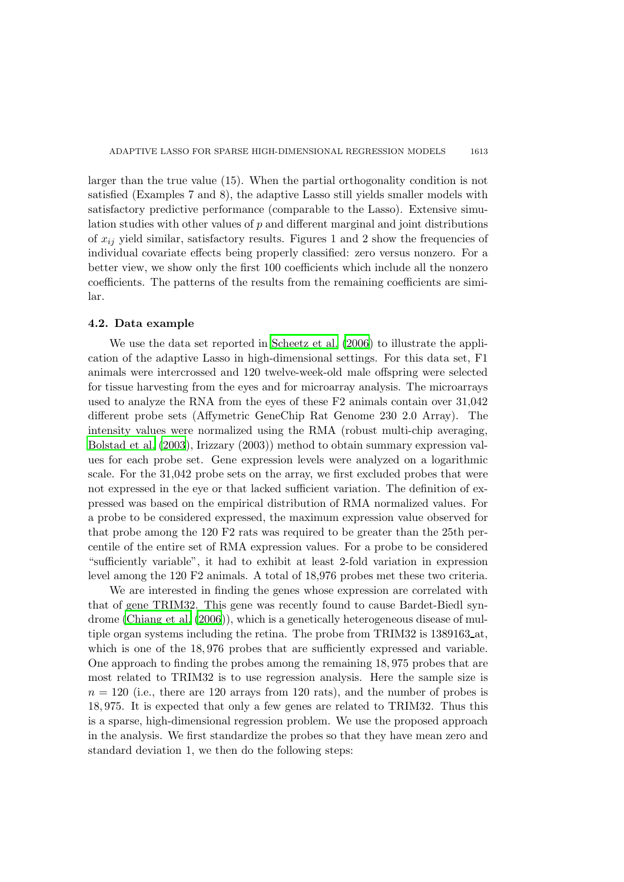larger than the true value (15). When the partial orthogonality condition is not satisfied (Examples 7 and 8), the adaptive Lasso still yields smaller models with satisfactory predictive performance (comparable to the Lasso). Extensive simulation studies with other values of p and different marginal and joint distributions of  $x_{ij}$  yield similar, satisfactory results. Figures 1 and 2 show the frequencies of individual covariate effects being properly classified: zero versus nonzero. For a better view, we show only the first 100 coefficients which include all the nonzero coefficients. The patterns of the results from the remaining coefficients are similar.

#### 4.2. Data example

We use the data set reported in [Scheetz et al. \(2006](#page-15-9)) to illustrate the application of the adaptive Lasso in high-dimensional settings. For this data set, F1 animals were intercrossed and 120 twelve-week-old male offspring were selected for tissue harvesting from the eyes and for microarray analysis. The microarrays used to analyze the RNA from the eyes of these F2 animals contain over 31,042 different probe sets (Affymetric GeneChip Rat Genome 230 2.0 Array). The intensity values were normalized using the RMA (robust multi-chip averaging, [Bolstad et al. \(2003](#page-14-10)), Irizzary (2003)) method to obtain summary expression values for each probe set. Gene expression levels were analyzed on a logarithmic scale. For the 31,042 probe sets on the array, we first excluded probes that were not expressed in the eye or that lacked sufficient variation. The definition of expressed was based on the empirical distribution of RMA normalized values. For a probe to be considered expressed, the maximum expression value observed for that probe among the 120 F2 rats was required to be greater than the 25th percentile of the entire set of RMA expression values. For a probe to be considered "sufficiently variable", it had to exhibit at least 2-fold variation in expression level among the 120 F2 animals. A total of 18,976 probes met these two criteria.

We are interested in finding the genes whose expression are correlated with that of gene TRIM32. This gene was recently found to cause Bardet-Biedl syndrome [\(Chiang et al. \(2006](#page-14-11))), which is a genetically heterogeneous disease of multiple organ systems including the retina. The probe from TRIM32 is 1389163 at, which is one of the 18,976 probes that are sufficiently expressed and variable. One approach to finding the probes among the remaining 18, 975 probes that are most related to TRIM32 is to use regression analysis. Here the sample size is  $n = 120$  (i.e., there are 120 arrays from 120 rats), and the number of probes is 18, 975. It is expected that only a few genes are related to TRIM32. Thus this is a sparse, high-dimensional regression problem. We use the proposed approach in the analysis. We first standardize the probes so that they have mean zero and standard deviation 1, we then do the following steps: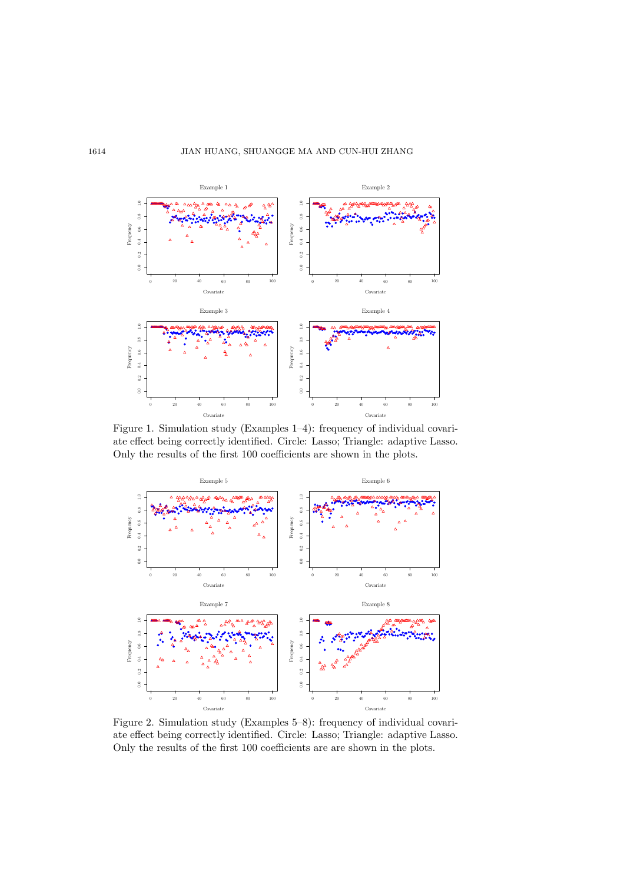

Figure 1. Simulation study (Examples 1–4): frequency of individual covariate effect being correctly identified. Circle: Lasso; Triangle: adaptive Lasso. Only the results of the first 100 coefficients are shown in the plots.



Figure 2. Simulation study (Examples 5–8): frequency of individual covariate effect being correctly identified. Circle: Lasso; Triangle: adaptive Lasso. Only the results of the first 100 coefficients are are shown in the plots.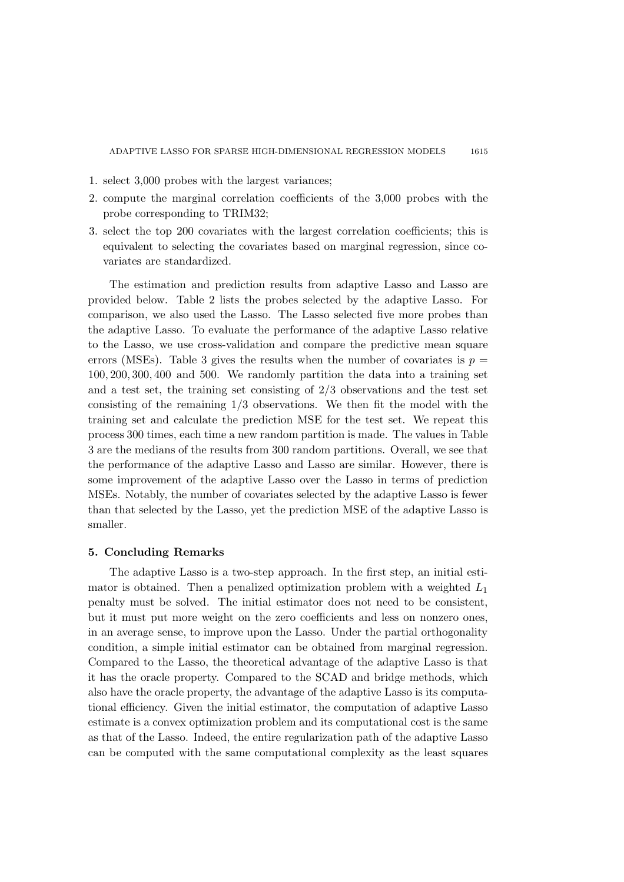- 1. select 3,000 probes with the largest variances;
- 2. compute the marginal correlation coefficients of the 3,000 probes with the probe corresponding to TRIM32;
- 3. select the top 200 covariates with the largest correlation coefficients; this is equivalent to selecting the covariates based on marginal regression, since covariates are standardized.

The estimation and prediction results from adaptive Lasso and Lasso are provided below. Table 2 lists the probes selected by the adaptive Lasso. For comparison, we also used the Lasso. The Lasso selected five more probes than the adaptive Lasso. To evaluate the performance of the adaptive Lasso relative to the Lasso, we use cross-validation and compare the predictive mean square errors (MSEs). Table 3 gives the results when the number of covariates is  $p =$ 100, 200, 300, 400 and 500. We randomly partition the data into a training set and a test set, the training set consisting of 2/3 observations and the test set consisting of the remaining 1/3 observations. We then fit the model with the training set and calculate the prediction MSE for the test set. We repeat this process 300 times, each time a new random partition is made. The values in Table 3 are the medians of the results from 300 random partitions. Overall, we see that the performance of the adaptive Lasso and Lasso are similar. However, there is some improvement of the adaptive Lasso over the Lasso in terms of prediction MSEs. Notably, the number of covariates selected by the adaptive Lasso is fewer than that selected by the Lasso, yet the prediction MSE of the adaptive Lasso is smaller.

### 5. Concluding Remarks

The adaptive Lasso is a two-step approach. In the first step, an initial estimator is obtained. Then a penalized optimization problem with a weighted  $L_1$ penalty must be solved. The initial estimator does not need to be consistent, but it must put more weight on the zero coefficients and less on nonzero ones, in an average sense, to improve upon the Lasso. Under the partial orthogonality condition, a simple initial estimator can be obtained from marginal regression. Compared to the Lasso, the theoretical advantage of the adaptive Lasso is that it has the oracle property. Compared to the SCAD and bridge methods, which also have the oracle property, the advantage of the adaptive Lasso is its computational efficiency. Given the initial estimator, the computation of adaptive Lasso estimate is a convex optimization problem and its computational cost is the same as that of the Lasso. Indeed, the entire regularization path of the adaptive Lasso can be computed with the same computational complexity as the least squares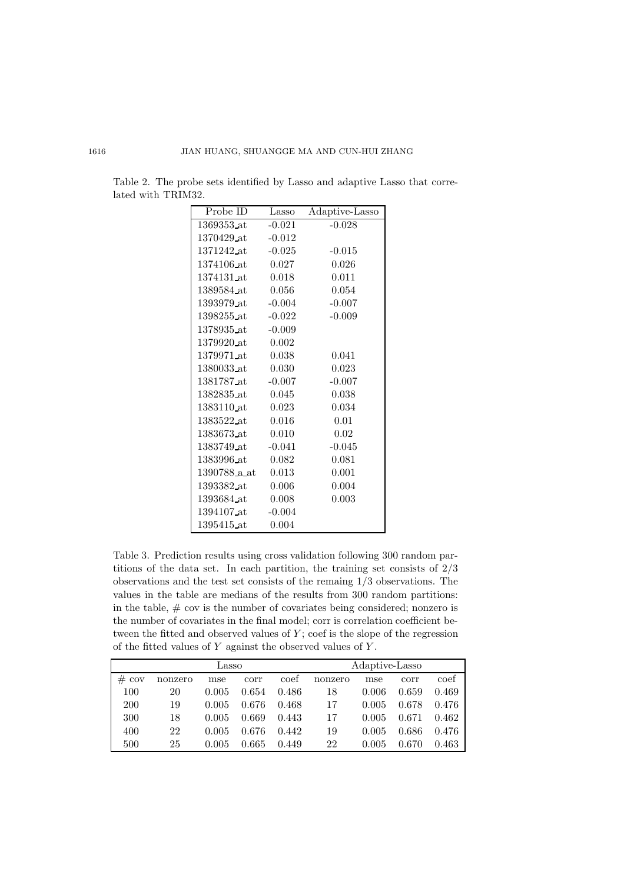| Probe ID                  | Lasso    | Adaptive-Lasso |
|---------------------------|----------|----------------|
| 1369353 at                | $-0.021$ | $-0.028$       |
| 1370429 at                | $-0.012$ |                |
| 1371242 at                | $-0.025$ | $-0.015$       |
| 1374106_at                | 0.027    | 0.026          |
| 1374131 at                | 0.018    | 0.011          |
| 1389584 at                | 0.056    | 0.054          |
| 1393979_at                | $-0.004$ | $-0.007$       |
| 1398255_at                | $-0.022$ | $-0.009$       |
| 1378935 at                | $-0.009$ |                |
| 1379920_at                | 0.002    |                |
| 1379971 at                | 0.038    | 0.041          |
| 1380033 at                | 0.030    | 0.023          |
| 1381787_at                | $-0.007$ | $-0.007$       |
| 1382835_at                | 0.045    | 0.038          |
| 1383110 at                | 0.023    | 0.034          |
| 1383522 at                | 0.016    | 0.01           |
| 1383673 at                | 0.010    | 0.02           |
| 1383749_at                | $-0.041$ | $-0.045$       |
| 1383996_at                | 0.082    | 0.081          |
| 1390788 <sub>-</sub> a at | 0.013    | 0.001          |
| 1393382_at                | 0.006    | 0.004          |
| 1393684 at                | 0.008    | 0.003          |
| 1394107 at                | $-0.004$ |                |
| 1395415_at                | 0.004    |                |

Table 2. The probe sets identified by Lasso and adaptive Lasso that correlated with TRIM32.

Table 3. Prediction results using cross validation following 300 random partitions of the data set. In each partition, the training set consists of 2/3 observations and the test set consists of the remaing 1/3 observations. The values in the table are medians of the results from 300 random partitions: in the table,  $#$  cov is the number of covariates being considered; nonzero is the number of covariates in the final model; corr is correlation coefficient between the fitted and observed values of  $Y$ ; coef is the slope of the regression of the fitted values of  $Y$  against the observed values of  $Y$ .

| Lasso          |         |       |       | Adaptive-Lasso |         |       |       |       |
|----------------|---------|-------|-------|----------------|---------|-------|-------|-------|
| $_{\#}$<br>cov | nonzero | mse   | corr  | coef           | nonzero | mse   | corr  | coef  |
| 100            | 20      | 0.005 | 0.654 | 0.486          | 18      | 0.006 | 0.659 | 0.469 |
| <b>200</b>     | 19      | 0.005 | 0.676 | 0.468          | 17      | 0.005 | 0.678 | 0.476 |
| 300            | 18      | 0.005 | 0.669 | 0.443          | 17      | 0.005 | 0.671 | 0.462 |
| 400            | 22      | 0.005 | 0.676 | 0.442          | 19      | 0.005 | 0.686 | 0.476 |
| 500            | 25      | 0.005 | 0.665 | 0.449          | 22      | 0.005 | 0.670 | 0.463 |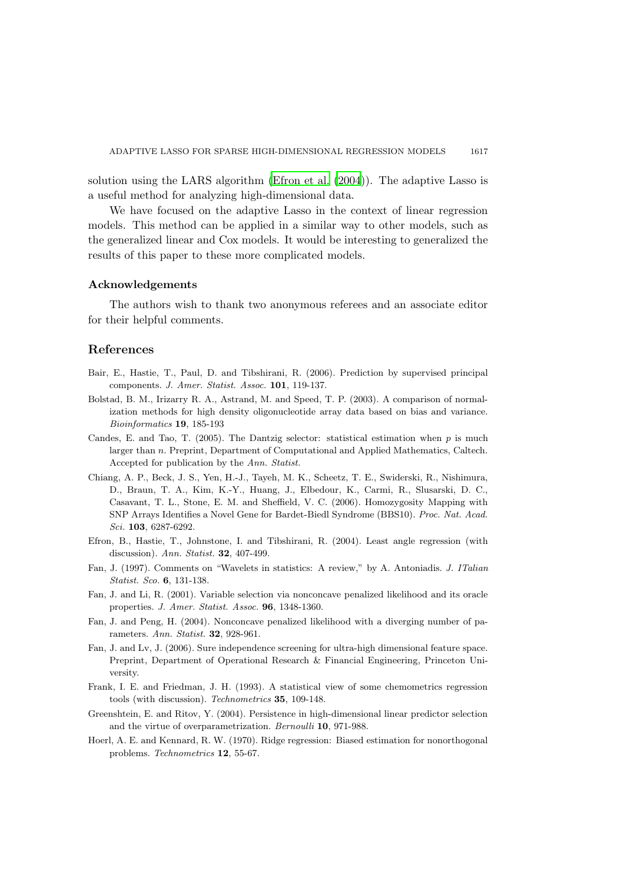solution using the LARS algorithm [\(Efron et al. \(2004](#page-14-9))). The adaptive Lasso is a useful method for analyzing high-dimensional data.

We have focused on the adaptive Lasso in the context of linear regression models. This method can be applied in a similar way to other models, such as the generalized linear and Cox models. It would be interesting to generalized the results of this paper to these more complicated models.

#### Acknowledgements

The authors wish to thank two anonymous referees and an associate editor for their helpful comments.

## References

- <span id="page-14-7"></span>Bair, E., Hastie, T., Paul, D. and Tibshirani, R. (2006). Prediction by supervised principal components. J. Amer. Statist. Assoc. 101, 119-137.
- <span id="page-14-10"></span>Bolstad, B. M., Irizarry R. A., Astrand, M. and Speed, T. P. (2003). A comparison of normalization methods for high density oligonucleotide array data based on bias and variance. Bioinformatics 19, 185-193
- <span id="page-14-6"></span>Candes, E. and Tao, T. (2005). The Dantzig selector: statistical estimation when  $p$  is much larger than n. Preprint, Department of Computational and Applied Mathematics, Caltech. Accepted for publication by the Ann. Statist.
- <span id="page-14-11"></span>Chiang, A. P., Beck, J. S., Yen, H.-J., Tayeh, M. K., Scheetz, T. E., Swiderski, R., Nishimura, D., Braun, T. A., Kim, K.-Y., Huang, J., Elbedour, K., Carmi, R., Slusarski, D. C., Casavant, T. L., Stone, E. M. and Sheffield, V. C. (2006). Homozygosity Mapping with SNP Arrays Identifies a Novel Gene for Bardet-Biedl Syndrome (BBS10). Proc. Nat. Acad. Sci. 103, 6287-6292.
- <span id="page-14-9"></span>Efron, B., Hastie, T., Johnstone, I. and Tibshirani, R. (2004). Least angle regression (with discussion). Ann. Statist. 32, 407-499.
- <span id="page-14-5"></span>Fan, J. (1997). Comments on "Wavelets in statistics: A review," by A. Antoniadis. J. ITalian Statist. Sco. 6, 131-138.
- <span id="page-14-1"></span>Fan, J. and Li, R. (2001). Variable selection via nonconcave penalized likelihood and its oracle properties. J. Amer. Statist. Assoc. 96, 1348-1360.
- <span id="page-14-2"></span>Fan, J. and Peng, H. (2004). Nonconcave penalized likelihood with a diverging number of parameters. Ann. Statist. 32, 928-961.
- <span id="page-14-8"></span>Fan, J. and Lv, J. (2006). Sure independence screening for ultra-high dimensional feature space. Preprint, Department of Operational Research & Financial Engineering, Princeton University.
- <span id="page-14-4"></span>Frank, I. E. and Friedman, J. H. (1993). A statistical view of some chemometrics regression tools (with discussion). Technometrics 35, 109-148.
- <span id="page-14-3"></span>Greenshtein, E. and Ritov, Y. (2004). Persistence in high-dimensional linear predictor selection and the virtue of overparametrization. Bernoulli 10, 971-988.
- <span id="page-14-0"></span>Hoerl, A. E. and Kennard, R. W. (1970). Ridge regression: Biased estimation for nonorthogonal problems. Technometrics 12, 55-67.